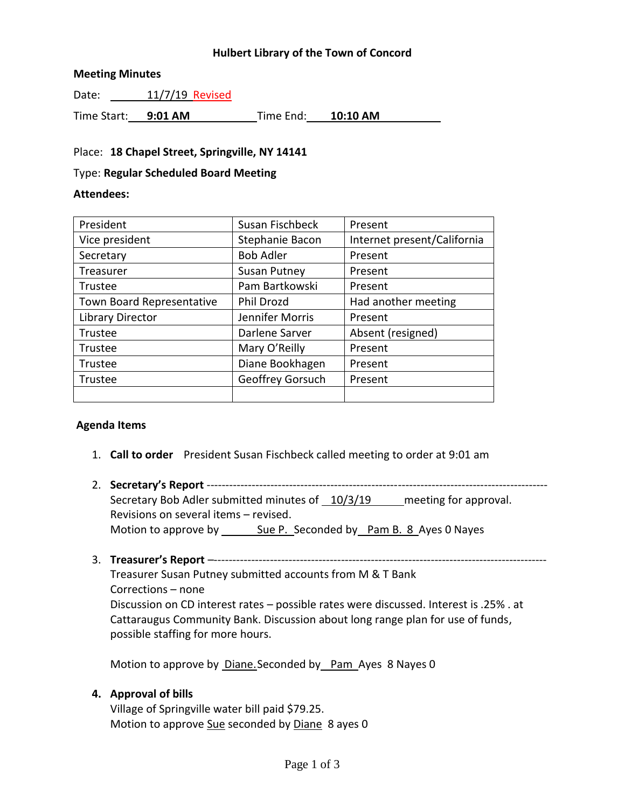## **Hulbert Library of the Town of Concord**

#### **Meeting Minutes**

Date: 11/7/19 Revised

Time Start: **9:01 AM** Time End: **10:10 AM**

#### Place: **18 Chapel Street, Springville, NY 14141**

#### Type: **Regular Scheduled Board Meeting**

#### **Attendees:**

| President                 | Susan Fischbeck     | Present                     |
|---------------------------|---------------------|-----------------------------|
| Vice president            | Stephanie Bacon     | Internet present/California |
| Secretary                 | <b>Bob Adler</b>    | Present                     |
| Treasurer                 | <b>Susan Putney</b> | Present                     |
| Trustee                   | Pam Bartkowski      | Present                     |
| Town Board Representative | Phil Drozd          | Had another meeting         |
| Library Director          | Jennifer Morris     | Present                     |
| Trustee                   | Darlene Sarver      | Absent (resigned)           |
| Trustee                   | Mary O'Reilly       | Present                     |
| Trustee                   | Diane Bookhagen     | Present                     |
| Trustee                   | Geoffrey Gorsuch    | Present                     |
|                           |                     |                             |

## **Agenda Items**

- 1. **Call to order** President Susan Fischbeck called meeting to order at 9:01 am
- 2. **Secretary's Report** ------------------------------------------------------------------------------------------- Secretary Bob Adler submitted minutes of 10/3/19 meeting for approval. Revisions on several items – revised. Motion to approve by Sue P. Seconded by Pam B. 8 Ayes 0 Nayes
- 3. **Treasurer's Report** –-----------------------------------------------------------------------------------------

Treasurer Susan Putney submitted accounts from M & T Bank Corrections – none Discussion on CD interest rates – possible rates were discussed. Interest is .25% . at Cattaraugus Community Bank. Discussion about long range plan for use of funds, possible staffing for more hours.

Motion to approve by Diane.Seconded by Pam Ayes 8 Nayes 0

## **4. Approval of bills**

Village of Springville water bill paid \$79.25. Motion to approve Sue seconded by Diane 8 ayes 0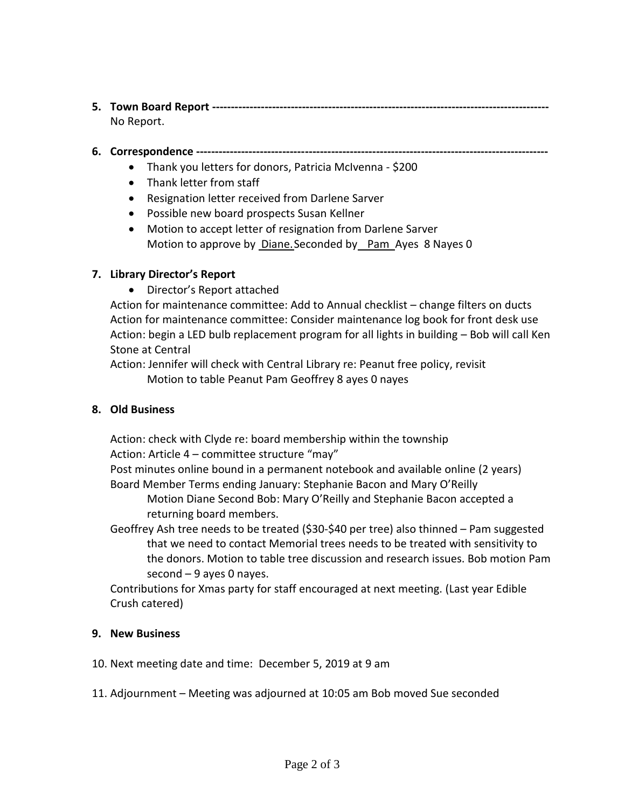# **5. Town Board Report ------------------------------------------------------------------------------------------** No Report.

# **6. Correspondence ----------------------------------------------------------------------------------------------**

- Thank you letters for donors, Patricia McIvenna \$200
- Thank letter from staff
- Resignation letter received from Darlene Sarver
- Possible new board prospects Susan Kellner
- Motion to accept letter of resignation from Darlene Sarver Motion to approve by Diane. Seconded by Pam Ayes 8 Nayes 0

# **7. Library Director's Report**

Director's Report attached

Action for maintenance committee: Add to Annual checklist – change filters on ducts Action for maintenance committee: Consider maintenance log book for front desk use Action: begin a LED bulb replacement program for all lights in building – Bob will call Ken Stone at Central

Action: Jennifer will check with Central Library re: Peanut free policy, revisit Motion to table Peanut Pam Geoffrey 8 ayes 0 nayes

## **8. Old Business**

Action: check with Clyde re: board membership within the township Action: Article 4 – committee structure "may"

Post minutes online bound in a permanent notebook and available online (2 years) Board Member Terms ending January: Stephanie Bacon and Mary O'Reilly

Motion Diane Second Bob: Mary O'Reilly and Stephanie Bacon accepted a returning board members.

Geoffrey Ash tree needs to be treated (\$30-\$40 per tree) also thinned – Pam suggested that we need to contact Memorial trees needs to be treated with sensitivity to the donors. Motion to table tree discussion and research issues. Bob motion Pam second  $-9$  ayes 0 nayes.

Contributions for Xmas party for staff encouraged at next meeting. (Last year Edible Crush catered)

## **9. New Business**

- 10. Next meeting date and time: December 5, 2019 at 9 am
- 11. Adjournment Meeting was adjourned at 10:05 am Bob moved Sue seconded